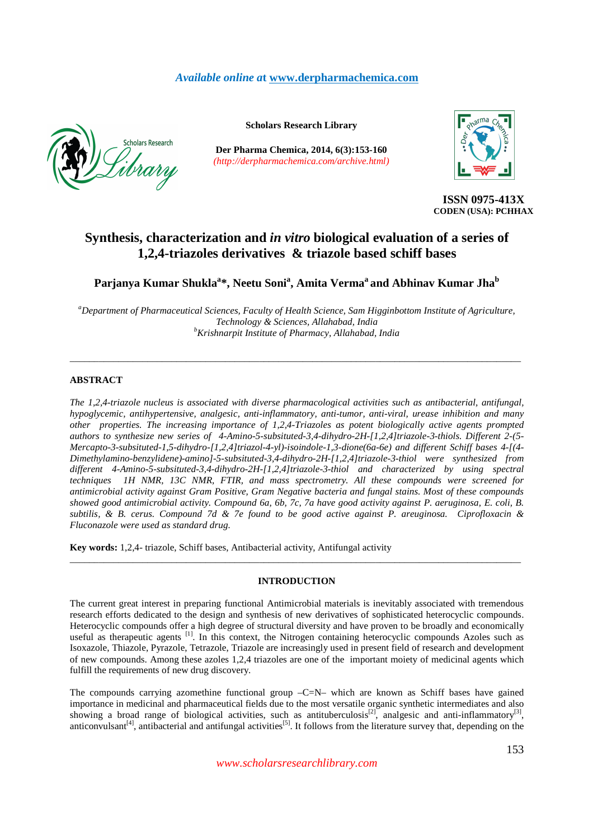## *Available online a***t www.derpharmachemica.com**



**Scholars Research Library**

**Der Pharma Chemica, 2014, 6(3):153-160** *(http://derpharmachemica.com/archive.html)*



**ISSN 0975-413X CODEN (USA): PCHHAX**

# **Synthesis, characterization and** *in vitro* **biological evaluation of a series of 1,2,4-triazoles derivatives & triazole based schiff bases**

**Parjanya Kumar Shukla<sup>a</sup> \*, Neetu Soni<sup>a</sup> , Amita Verma<sup>a</sup>and Abhinav Kumar Jha<sup>b</sup>**

*<sup>a</sup>Department of Pharmaceutical Sciences, Faculty of Health Science, Sam Higginbottom Institute of Agriculture, Technology & Sciences, Allahabad, India <sup>b</sup>Krishnarpit Institute of Pharmacy, Allahabad, India*

\_\_\_\_\_\_\_\_\_\_\_\_\_\_\_\_\_\_\_\_\_\_\_\_\_\_\_\_\_\_\_\_\_\_\_\_\_\_\_\_\_\_\_\_\_\_\_\_\_\_\_\_\_\_\_\_\_\_\_\_\_\_\_\_\_\_\_\_\_\_\_\_\_\_\_\_\_\_\_\_\_\_\_\_\_\_\_\_\_\_\_\_\_

## **ABSTRACT**

*The 1,2,4-triazole nucleus is associated with diverse pharmacological activities such as antibacterial, antifungal, hypoglycemic, antihypertensive, analgesic, anti-inflammatory, anti-tumor, anti-viral, urease inhibition and many other properties. The increasing importance of 1,2,4-Triazoles as potent biologically active agents prompted authors to synthesize new series of 4-Amino-5-subsituted-3,4-dihydro-2H-[1,2,4]triazole-3-thiols. Different 2-(5- Mercapto-3-subsituted-1,5-dihydro-[1,2,4]triazol-4-yl)-isoindole-1,3-dione(6a-6e) and different Schiff bases 4-[(4- Dimethylamino-benzylidene)-amino]-5-subsituted-3,4-dihydro-2H-[1,2,4]triazole-3-thiol were synthesized from different 4-Amino-5-subsituted-3,4-dihydro-2H-[1,2,4]triazole-3-thiol and characterized by using spectral techniques 1H NMR, 13C NMR, FTIR, and mass spectrometry. All these compounds were screened for antimicrobial activity against Gram Positive, Gram Negative bacteria and fungal stains. Most of these compounds showed good antimicrobial activity. Compound 6a, 6b, 7c, 7a have good activity against P. aeruginosa, E. coli, B. subtilis, & B. cerus. Compound 7d & 7e found to be good active against P. areuginosa. Ciprofloxacin & Fluconazole were used as standard drug.* 

**Key words:** 1,2,4- triazole, Schiff bases, Antibacterial activity, Antifungal activity

## **INTRODUCTION**

\_\_\_\_\_\_\_\_\_\_\_\_\_\_\_\_\_\_\_\_\_\_\_\_\_\_\_\_\_\_\_\_\_\_\_\_\_\_\_\_\_\_\_\_\_\_\_\_\_\_\_\_\_\_\_\_\_\_\_\_\_\_\_\_\_\_\_\_\_\_\_\_\_\_\_\_\_\_\_\_\_\_\_\_\_\_\_\_\_\_\_\_\_

The current great interest in preparing functional Antimicrobial materials is inevitably associated with tremendous research efforts dedicated to the design and synthesis of new derivatives of sophisticated heterocyclic compounds. Heterocyclic compounds offer a high degree of structural diversity and have proven to be broadly and economically useful as therapeutic agents <sup>[1]</sup>. In this context, the Nitrogen containing heterocyclic compounds Azoles such as Isoxazole, Thiazole, Pyrazole, Tetrazole, Triazole are increasingly used in present field of research and development of new compounds. Among these azoles 1,2,4 triazoles are one of the important moiety of medicinal agents which fulfill the requirements of new drug discovery.

The compounds carrying azomethine functional group –C=N– which are known as Schiff bases have gained importance in medicinal and pharmaceutical fields due to the most versatile organic synthetic intermediates and also showing a broad range of biological activities, such as antituberculosis<sup>[2]</sup>, analgesic and anti-inflammatory<sup>[3]</sup>, anticonvulsant<sup>[4]</sup>, antibacterial and antifungal activities<sup>[5]</sup>. It follows from the literature survey that, depending on the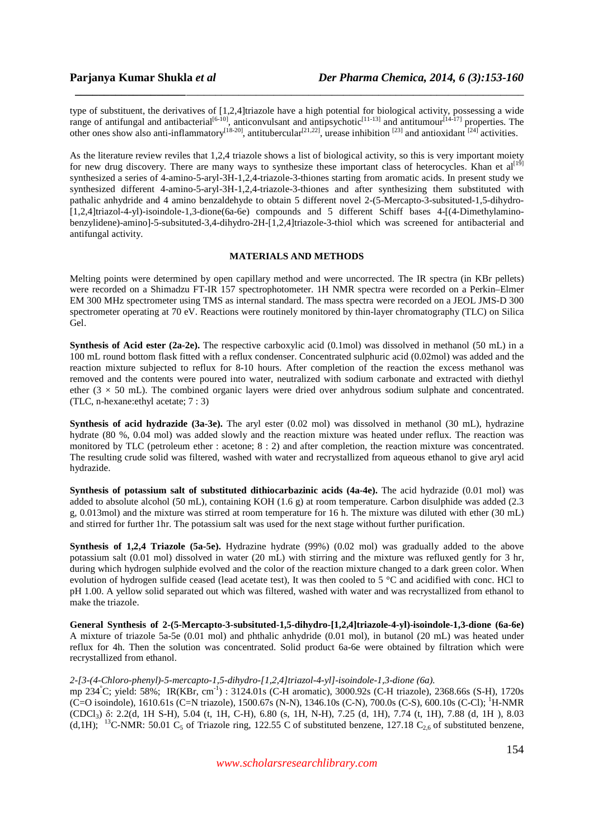type of substituent, the derivatives of [1,2,4]triazole have a high potential for biological activity, possessing a wide range of antifungal and antibacterial<sup>[6-10]</sup>, anticonvulsant and antipsychotic<sup>[11-13]</sup> and antitumour<sup>[14-17]</sup> properties. The other ones show also anti-inflammatory<sup>[18-20]</sup>, antitubercular<sup>[21,22]</sup>, urease inhibition <sup>[23]</sup> and antioxidant <sup>[24]</sup> activities.

*\_\_\_\_\_\_\_\_\_\_\_\_\_\_\_\_\_\_\_\_\_\_\_\_\_\_\_\_\_\_\_\_\_\_\_\_\_\_\_\_\_\_\_\_\_\_\_\_\_\_\_\_\_\_\_\_\_\_\_\_\_\_\_\_\_\_\_\_\_\_\_\_\_\_\_\_\_*

As the literature review reviles that 1,2,4 triazole shows a list of biological activity, so this is very important moiety for new drug discovery. There are many ways to synthesize these important class of heterocycles. Khan et al<sup>[19]</sup> synthesized a series of 4-amino-5-aryl-3H-1,2,4-triazole-3-thiones starting from aromatic acids. In present study we synthesized different 4-amino-5-aryl-3H-1,2,4-triazole-3-thiones and after synthesizing them substituted with pathalic anhydride and 4 amino benzaldehyde to obtain 5 different novel 2-(5-Mercapto-3-subsituted-1,5-dihydro- [1,2,4]triazol-4-yl)-isoindole-1,3-dione(6a-6e) compounds and 5 different Schiff bases 4-[(4-Dimethylaminobenzylidene)-amino]-5-subsituted-3,4-dihydro-2H-[1,2,4]triazole-3-thiol which was screened for antibacterial and antifungal activity.

## **MATERIALS AND METHODS**

Melting points were determined by open capillary method and were uncorrected. The IR spectra (in KBr pellets) were recorded on a Shimadzu FT-IR 157 spectrophotometer. 1H NMR spectra were recorded on a Perkin–Elmer EM 300 MHz spectrometer using TMS as internal standard. The mass spectra were recorded on a JEOL JMS-D 300 spectrometer operating at 70 eV. Reactions were routinely monitored by thin-layer chromatography (TLC) on Silica Gel.

**Synthesis of Acid ester (2a-2e).** The respective carboxylic acid (0.1mol) was dissolved in methanol (50 mL) in a 100 mL round bottom flask fitted with a reflux condenser. Concentrated sulphuric acid (0.02mol) was added and the reaction mixture subjected to reflux for 8-10 hours. After completion of the reaction the excess methanol was removed and the contents were poured into water, neutralized with sodium carbonate and extracted with diethyl ether ( $3 \times 50$  mL). The combined organic layers were dried over anhydrous sodium sulphate and concentrated. (TLC, n-hexane:ethyl acetate; 7 : 3)

**Synthesis of acid hydrazide (3a-3e).** The aryl ester (0.02 mol) was dissolved in methanol (30 mL), hydrazine hydrate (80 %, 0.04 mol) was added slowly and the reaction mixture was heated under reflux. The reaction was monitored by TLC (petroleum ether : acetone; 8 : 2) and after completion, the reaction mixture was concentrated. The resulting crude solid was filtered, washed with water and recrystallized from aqueous ethanol to give aryl acid hydrazide.

**Synthesis of potassium salt of substituted dithiocarbazinic acids (4a-4e).** The acid hydrazide (0.01 mol) was added to absolute alcohol (50 mL), containing KOH (1.6 g) at room temperature. Carbon disulphide was added (2.3 g, 0.013mol) and the mixture was stirred at room temperature for 16 h. The mixture was diluted with ether (30 mL) and stirred for further 1hr. The potassium salt was used for the next stage without further purification.

**Synthesis of 1,2,4 Triazole (5a-5e).** Hydrazine hydrate (99%) (0.02 mol) was gradually added to the above potassium salt (0.01 mol) dissolved in water (20 mL) with stirring and the mixture was refluxed gently for 3 hr, during which hydrogen sulphide evolved and the color of the reaction mixture changed to a dark green color. When evolution of hydrogen sulfide ceased (lead acetate test), It was then cooled to 5 °C and acidified with conc. HCl to pH 1.00. A yellow solid separated out which was filtered, washed with water and was recrystallized from ethanol to make the triazole.

**General Synthesis of 2-(5-Mercapto-3-subsituted-1,5-dihydro-[1,2,4]triazole-4-yl)-isoindole-1,3-dione (6a-6e)** A mixture of triazole 5a-5e (0.01 mol) and phthalic anhydride (0.01 mol), in butanol (20 mL) was heated under reflux for 4h. Then the solution was concentrated. Solid product 6a-6e were obtained by filtration which were recrystallized from ethanol.

## *2-[3-(4-Chloro-phenyl)-5-mercapto-1,5-dihydro-[1,2,4]triazol-4-yl]-isoindole-1,3-dione (6a).*

mp 234°C; yield: 58%; IR(KBr, cm-1) : 3124.01s (C-H aromatic), 3000.92s (C-H triazole), 2368.66s (S-H), 1720s (C=O isoindole), 1610.61s (C=N triazole), 1500.67s (N-N), 1346.10s (C-N), 700.0s (C-S), 600.10s (C-Cl); <sup>1</sup>H-NMR (CDCl3) δ: 2.2(d, 1H S-H), 5.04 (t, 1H, C-H), 6.80 (s, 1H, N-H), 7.25 (d, 1H), 7.74 (t, 1H), 7.88 (d, 1H ), 8.03 (d,1H); <sup>13</sup>C-NMR: 50.01 C<sub>5</sub> of Triazole ring, 122.55 C of substituted benzene, 127.18 C<sub>2.6</sub> of substituted benzene,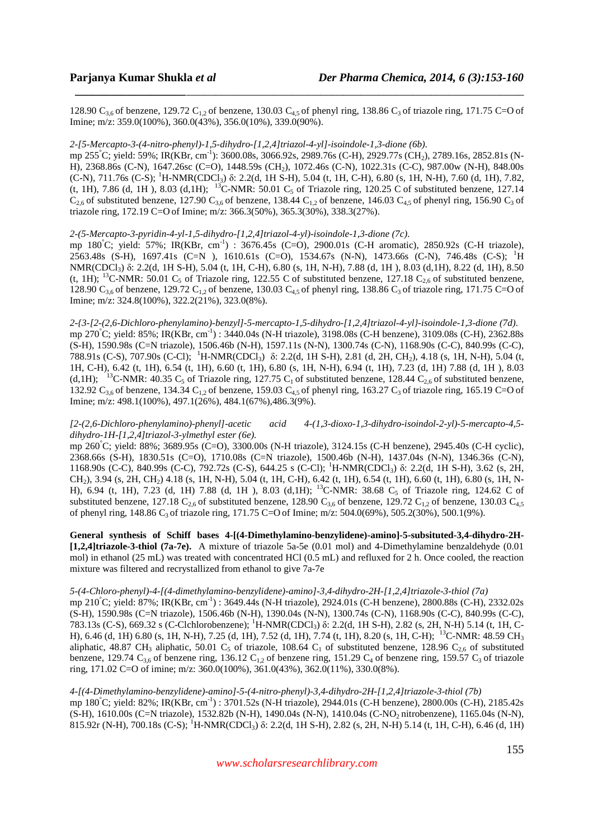128.90  $C_{3,6}$  of benzene, 129.72  $C_{1,2}$  of benzene, 130.03  $C_{4,5}$  of phenyl ring, 138.86  $C_3$  of triazole ring, 171.75 C=O of Imine; m/z: 359.0(100%), 360.0(43%), 356.0(10%), 339.0(90%).

*\_\_\_\_\_\_\_\_\_\_\_\_\_\_\_\_\_\_\_\_\_\_\_\_\_\_\_\_\_\_\_\_\_\_\_\_\_\_\_\_\_\_\_\_\_\_\_\_\_\_\_\_\_\_\_\_\_\_\_\_\_\_\_\_\_\_\_\_\_\_\_\_\_\_\_\_\_*

## *2-[5-Mercapto-3-(4-nitro-phenyl)-1,5-dihydro-[1,2,4]triazol-4-yl]-isoindole-1,3-dione (6b).*

mp 255°C; yield: 59%; IR(KBr, cm-1): 3600.08s, 3066.92s, 2989.76s (C-H), 2929.77s (CH2), 2789.16s, 2852.81s (N-H), 2368.86s (C-N), 1647.26sc (C=O), 1448.59s (CH2), 1072.46s (C-N), 1022.31s (C-C), 987.00w (N-H), 848.00s (C-N), 711.76s (C-S); <sup>1</sup>H-NMR(CDCl3) δ: 2.2(d, 1H S-H), 5.04 (t, 1H, C-H), 6.80 (s, 1H, N-H), 7.60 (d, 1H), 7.82, (t, 1H), 7.86 (d, 1H), 8.03 (d, 1H); <sup>13</sup>C-NMR: 50.01 C<sub>5</sub> of Triazole ring, 120.25 C of substituted benzene, 127.14  $C_{2,6}$  of substituted benzene, 127.90  $C_{3,6}$  of benzene, 138.44  $C_{1,2}$  of benzene, 146.03  $C_{4,5}$  of phenyl ring, 156.90  $C_3$  of triazole ring, 172.19 C=O of Imine; m/z: 366.3(50%), 365.3(30%), 338.3(27%).

## *2-(5-Mercapto-3-pyridin-4-yl-1,5-dihydro-[1,2,4]triazol-4-yl)-isoindole-1,3-dione (7c).*

mp 180°C; yield: 57%; IR(KBr, cm-1) : 3676.45s (C=O), 2900.01s (C-H aromatic), 2850.92s (C-H triazole), 2563.48s (S-H), 1697.41s (C=N ), 1610.61s (C=O), 1534.67s (N-N), 1473.66s (C-N), 746.48s (C-S); <sup>1</sup>H NMR(CDCl3) δ: 2.2(d, 1H S-H), 5.04 (t, 1H, C-H), 6.80 (s, 1H, N-H), 7.88 (d, 1H ), 8.03 (d,1H), 8.22 (d, 1H), 8.50 (t, 1H); <sup>13</sup>C-NMR: 50.01 C<sub>5</sub> of Triazole ring, 122.55 C of substituted benzene, 127.18 C<sub>2,6</sub> of substituted benzene, 128.90  $C_{3,6}$  of benzene, 129.72  $C_{1,2}$  of benzene, 130.03  $C_{4,5}$  of phenyl ring, 138.86  $C_3$  of triazole ring, 171.75 C=O of Imine; m/z: 324.8(100%), 322.2(21%), 323.0(8%).

*2-{3-[2-(2,6-Dichloro-phenylamino)-benzyl]-5-mercapto-1,5-dihydro-[1,2,4]triazol-4-yl}-isoindole-1,3-dione (7d).*  mp 270°C; yield: 85%; IR(KBr, cm-1) : 3440.04s (N-H triazole), 3198.08s (C-H benzene), 3109.08s (C-H), 2362.88s (S-H), 1590.98s (C=N triazole), 1506.46b (N-H), 1597.11s (N-N), 1300.74s (C-N), 1168.90s (C-C), 840.99s (C-C), 788.91s (C-S), 707.90s (C-Cl); <sup>1</sup>H-NMR(CDCl3) δ: 2.2(d, 1H S-H), 2.81 (d, 2H, CH2), 4.18 (s, 1H, N-H), 5.04 (t, 1H, C-H), 6.42 (t, 1H), 6.54 (t, 1H), 6.60 (t, 1H), 6.80 (s, 1H, N-H), 6.94 (t, 1H), 7.23 (d, 1H) 7.88 (d, 1H ), 8.03 (d,1H); <sup>13</sup>C-NMR: 40.35 C<sub>5</sub> of Triazole ring, 127.75 C<sub>1</sub> of substituted benzene, 128.44 C<sub>2.6</sub> of substituted benzene, 132.92  $C_{3,6}$  of benzene, 134.34  $C_{1,2}$  of benzene, 159.03  $C_{4,5}$  of phenyl ring, 163.27  $C_3$  of triazole ring, 165.19 C=O of Imine; m/z: 498.1(100%), 497.1(26%), 484.1(67%),486.3(9%).

## *[2-(2,6-Dichloro-phenylamino)-phenyl]-acetic acid 4-(1,3-dioxo-1,3-dihydro-isoindol-2-yl)-5-mercapto-4,5 dihydro-1H-[1,2,4]triazol-3-ylmethyl ester (6e).*

mp 260°C; yield: 88%; 3689.95s (C=O), 3300.00s (N-H triazole), 3124.15s (C-H benzene), 2945.40s (C-H cyclic), 2368.66s (S-H), 1830.51s (C=O), 1710.08s (C=N triazole), 1500.46b (N-H), 1437.04s (N-N), 1346.36s (C-N), 1168.90s (C-C), 840.99s (C-C), 792.72s (C-S), 644.25 s (C-Cl); <sup>1</sup>H-NMR(CDCl3) δ: 2.2(d, 1H S-H), 3.62 (s, 2H, CH2), 3.94 (s, 2H, CH2) 4.18 (s, 1H, N-H), 5.04 (t, 1H, C-H), 6.42 (t, 1H), 6.54 (t, 1H), 6.60 (t, 1H), 6.80 (s, 1H, N-H), 6.94 (t, 1H), 7.23 (d, 1H) 7.88 (d, 1H), 8.03 (d,1H); <sup>13</sup>C-NMR: 38.68 C<sub>5</sub> of Triazole ring, 124.62 C of substituted benzene, 127.18  $C_{2,6}$  of substituted benzene, 128.90  $C_{3,6}$  of benzene, 129.72  $C_{1,2}$  of benzene, 130.03  $C_{4,5}$ of phenyl ring, 148.86 C<sub>3</sub> of triazole ring, 171.75 C=O of Imine; m/z: 504.0(69%), 505.2(30%), 500.1(9%).

**General synthesis of Schiff bases 4-[(4-Dimethylamino-benzylidene)-amino]-5-subsituted-3,4-dihydro-2H- [1,2,4]triazole-3-thiol (7a-7e).** A mixture of triazole 5a-5e (0.01 mol) and 4-Dimethylamine benzaldehyde (0.01 mol) in ethanol (25 mL) was treated with concentrated HCl (0.5 mL) and refluxed for 2 h. Once cooled, the reaction mixture was filtered and recrystallized from ethanol to give 7a-7e

#### *5-(4-Chloro-phenyl)-4-[(4-dimethylamino-benzylidene)-amino]-3,4-dihydro-2H-[1,2,4]triazole-3-thiol (7a)*

mp 210°C; yield: 87%; IR(KBr, cm-1) : 3649.44s (N-H triazole), 2924.01s (C-H benzene), 2800.88s (C-H), 2332.02s (S-H), 1590.98s (C=N triazole), 1506.46b (N-H), 1390.04s (N-N), 1300.74s (C-N), 1168.90s (C-C), 840.99s (C-C), 783.13s (C-S), 669.32 s (C-Clchlorobenzene); <sup>1</sup>H-NMR(CDCl<sub>3</sub>) δ: 2.2(d, 1H S-H), 2.82 (s, 2H, N-H) 5.14 (t, 1H, C-H), 6.46 (d, 1H) 6.80 (s, 1H, N-H), 7.25 (d, 1H), 7.52 (d, 1H), 7.74 (t, 1H), 8.20 (s, 1H, C-H); <sup>13</sup>C-NMR: 48.59 CH<sup>3</sup> aliphatic, 48.87 CH<sub>3</sub> aliphatic, 50.01 C<sub>5</sub> of triazole, 108.64 C<sub>1</sub> of substituted benzene, 128.96 C<sub>2.6</sub> of substituted benzene, 129.74  $C_{3,6}$  of benzene ring, 136.12  $C_{1,2}$  of benzene ring, 151.29  $C_4$  of benzene ring, 159.57  $C_3$  of triazole ring, 171.02 C=O of imine; m/z: 360.0(100%), 361.0(43%), 362.0(11%), 330.0(8%).

## *4-[(4-Dimethylamino-benzylidene)-amino]-5-(4-nitro-phenyl)-3,4-dihydro-2H-[1,2,4]triazole-3-thiol (7b)* mp 180°C; yield: 82%; IR(KBr, cm-1) : 3701.52s (N-H triazole), 2944.01s (C-H benzene), 2800.00s (C-H), 2185.42s (S-H), 1610.00s (C=N triazole), 1532.82b (N-H), 1490.04s (N-N), 1410.04s (C-NO2 nitrobenzene), 1165.04s (N-N), 815.92r (N-H), 700.18s (C-S); <sup>1</sup>H-NMR(CDCl3) δ: 2.2(d, 1H S-H), 2.82 (s, 2H, N-H) 5.14 (t, 1H, C-H), 6.46 (d, 1H)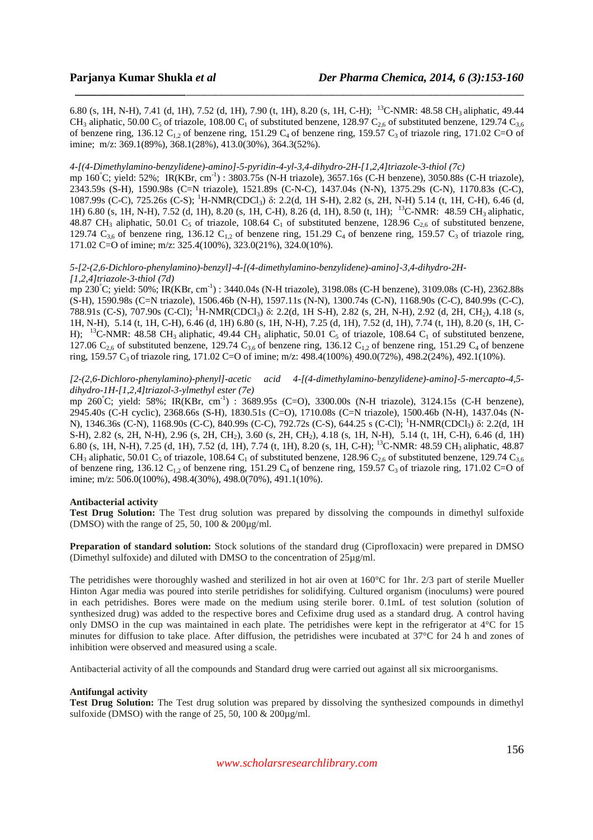6.80 (s, 1H, N-H), 7.41 (d, 1H), 7.52 (d, 1H), 7.90 (t, 1H), 8.20 (s, 1H, C-H); <sup>13</sup>C-NMR: 48.58 CH<sub>3</sub> aliphatic, 49.44 CH<sub>3</sub> aliphatic, 50.00 C<sub>5</sub> of triazole, 108.00 C<sub>1</sub> of substituted benzene, 128.97 C<sub>2.6</sub> of substituted benzene, 129.74 C<sub>3.6</sub> of benzene ring, 136.12  $C_{1,2}$  of benzene ring, 151.29  $C_4$  of benzene ring, 159.57  $C_3$  of triazole ring, 171.02 C=O of imine; m/z: 369.1(89%), 368.1(28%), 413.0(30%), 364.3(52%).

*\_\_\_\_\_\_\_\_\_\_\_\_\_\_\_\_\_\_\_\_\_\_\_\_\_\_\_\_\_\_\_\_\_\_\_\_\_\_\_\_\_\_\_\_\_\_\_\_\_\_\_\_\_\_\_\_\_\_\_\_\_\_\_\_\_\_\_\_\_\_\_\_\_\_\_\_\_*

## *4-[(4-Dimethylamino-benzylidene)-amino]-5-pyridin-4-yl-3,4-dihydro-2H-[1,2,4]triazole-3-thiol (7c)*

mp 160°C; yield: 52%; IR(KBr, cm<sup>-1</sup>): 3803.75s (N-H triazole), 3657.16s (C-H benzene), 3050.88s (C-H triazole), 2343.59s (S-H), 1590.98s (C=N triazole), 1521.89s (C-N-C), 1437.04s (N-N), 1375.29s (C-N), 1170.83s (C-C), 1087.99s (C-C), 725.26s (C-S); <sup>1</sup>H-NMR(CDCl3) δ: 2.2(d, 1H S-H), 2.82 (s, 2H, N-H) 5.14 (t, 1H, C-H), 6.46 (d, 1H) 6.80 (s, 1H, N-H), 7.52 (d, 1H), 8.20 (s, 1H, C-H), 8.26 (d, 1H), 8.50 (t, 1H); <sup>13</sup>C-NMR: 48.59 CH<sub>3</sub> aliphatic, 48.87 CH<sub>3</sub> aliphatic, 50.01 C<sub>5</sub> of triazole, 108.64 C<sub>1</sub> of substituted benzene, 128.96 C<sub>2.6</sub> of substituted benzene, 129.74  $C_{3,6}$  of benzene ring, 136.12  $C_{1,2}$  of benzene ring, 151.29  $C_4$  of benzene ring, 159.57  $C_3$  of triazole ring, 171.02 C=O of imine; m/z: 325.4(100%), 323.0(21%), 324.0(10%).

#### *5-[2-(2,6-Dichloro-phenylamino)-benzyl]-4-[(4-dimethylamino-benzylidene)-amino]-3,4-dihydro-2H- [1,2,4]triazole-3-thiol (7d)*

mp 230°C; yield: 50%; IR(KBr, cm-1) : 3440.04s (N-H triazole), 3198.08s (C-H benzene), 3109.08s (C-H), 2362.88s (S-H), 1590.98s (C=N triazole), 1506.46b (N-H), 1597.11s (N-N), 1300.74s (C-N), 1168.90s (C-C), 840.99s (C-C), 788.91s (C-S), 707.90s (C-Cl); <sup>1</sup>H-NMR(CDCl3) δ: 2.2(d, 1H S-H), 2.82 (s, 2H, N-H), 2.92 (d, 2H, CH2), 4.18 (s, 1H, N-H), 5.14 (t, 1H, C-H), 6.46 (d, 1H) 6.80 (s, 1H, N-H), 7.25 (d, 1H), 7.52 (d, 1H), 7.74 (t, 1H), 8.20 (s, 1H, C-H); <sup>13</sup>C-NMR: 48.58 CH<sub>3</sub> aliphatic, 49.44 CH<sub>3</sub> aliphatic, 50.01 C<sub>5</sub> of triazole, 108.64 C<sub>1</sub> of substituted benzene, 127.06  $C_{2.6}$  of substituted benzene, 129.74  $C_{3.6}$  of benzene ring, 136.12  $C_{1.2}$  of benzene ring, 151.29  $C_4$  of benzene ring, 159.57 C<sub>3</sub> of triazole ring, 171.02 C=O of imine; m/z: 498.4(100%) 490.0(72%), 498.2(24%), 492.1(10%).

## *[2-(2,6-Dichloro-phenylamino)-phenyl]-acetic acid 4-[(4-dimethylamino-benzylidene)-amino]-5-mercapto-4,5 dihydro-1H-[1,2,4]triazol-3-ylmethyl ester (7e)*

mp 260°C; yield: 58%; IR(KBr, cm-1) : 3689.95s (C=O), 3300.00s (N-H triazole), 3124.15s (C-H benzene), 2945.40s (C-H cyclic), 2368.66s (S-H), 1830.51s (C=O), 1710.08s (C=N triazole), 1500.46b (N-H), 1437.04s (N-N), 1346.36s (C-N), 1168.90s (C-C), 840.99s (C-C), 792.72s (C-S), 644.25 s (C-Cl); <sup>1</sup>H-NMR(CDCl<sub>3</sub>) δ: 2.2(d, 1H S-H), 2.82 (s, 2H, N-H), 2.96 (s, 2H, CH2), 3.60 (s, 2H, CH2), 4.18 (s, 1H, N-H), 5.14 (t, 1H, C-H), 6.46 (d, 1H) 6.80 (s, 1H, N-H), 7.25 (d, 1H), 7.52 (d, 1H), 7.74 (t, 1H), 8.20 (s, 1H, C-H); <sup>13</sup>C-NMR: 48.59 CH3 aliphatic, 48.87 CH<sub>3</sub> aliphatic, 50.01 C<sub>5</sub> of triazole, 108.64 C<sub>1</sub> of substituted benzene, 128.96 C<sub>2.6</sub> of substituted benzene, 129.74 C<sub>3.6</sub> of benzene ring, 136.12  $C_{12}$  of benzene ring, 151.29  $C_4$  of benzene ring, 159.57  $C_3$  of triazole ring, 171.02 C=O of imine; m/z: 506.0(100%), 498.4(30%), 498.0(70%), 491.1(10%).

## **Antibacterial activity**

**Test Drug Solution:** The Test drug solution was prepared by dissolving the compounds in dimethyl sulfoxide (DMSO) with the range of 25, 50, 100 & 200µg/ml.

**Preparation of standard solution:** Stock solutions of the standard drug (Ciprofloxacin) were prepared in DMSO (Dimethyl sulfoxide) and diluted with DMSO to the concentration of 25µg/ml.

The petridishes were thoroughly washed and sterilized in hot air oven at 160°C for 1hr. 2/3 part of sterile Mueller Hinton Agar media was poured into sterile petridishes for solidifying. Cultured organism (inoculums) were poured in each petridishes. Bores were made on the medium using sterile borer. 0.1mL of test solution (solution of synthesized drug) was added to the respective bores and Cefixime drug used as a standard drug. A control having only DMSO in the cup was maintained in each plate. The petridishes were kept in the refrigerator at 4°C for 15 minutes for diffusion to take place. After diffusion, the petridishes were incubated at 37°C for 24 h and zones of inhibition were observed and measured using a scale.

Antibacterial activity of all the compounds and Standard drug were carried out against all six microorganisms.

## **Antifungal activity**

**Test Drug Solution:** The Test drug solution was prepared by dissolving the synthesized compounds in dimethyl sulfoxide (DMSO) with the range of 25, 50, 100  $\&$  200 $\mu$ g/ml.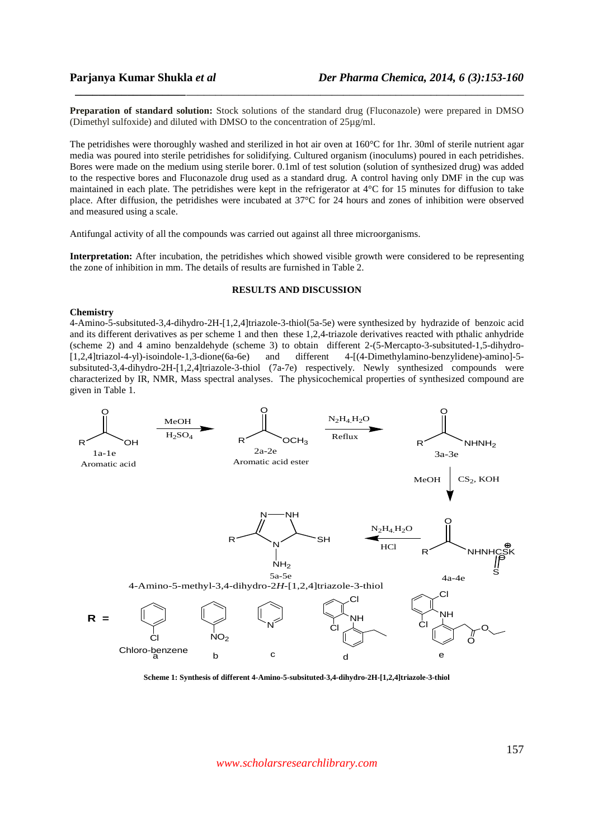**Preparation of standard solution:** Stock solutions of the standard drug (Fluconazole) were prepared in DMSO (Dimethyl sulfoxide) and diluted with DMSO to the concentration of 25µg/ml.

*\_\_\_\_\_\_\_\_\_\_\_\_\_\_\_\_\_\_\_\_\_\_\_\_\_\_\_\_\_\_\_\_\_\_\_\_\_\_\_\_\_\_\_\_\_\_\_\_\_\_\_\_\_\_\_\_\_\_\_\_\_\_\_\_\_\_\_\_\_\_\_\_\_\_\_\_\_*

The petridishes were thoroughly washed and sterilized in hot air oven at 160°C for 1hr. 30ml of sterile nutrient agar media was poured into sterile petridishes for solidifying. Cultured organism (inoculums) poured in each petridishes. Bores were made on the medium using sterile borer. 0.1ml of test solution (solution of synthesized drug) was added to the respective bores and Fluconazole drug used as a standard drug. A control having only DMF in the cup was maintained in each plate. The petridishes were kept in the refrigerator at 4°C for 15 minutes for diffusion to take place. After diffusion, the petridishes were incubated at 37°C for 24 hours and zones of inhibition were observed and measured using a scale.

Antifungal activity of all the compounds was carried out against all three microorganisms.

**Interpretation:** After incubation, the petridishes which showed visible growth were considered to be representing the zone of inhibition in mm. The details of results are furnished in Table 2.

## **RESULTS AND DISCUSSION**

## **Chemistry**

4-Amino-5-subsituted-3,4-dihydro-2H-[1,2,4]triazole-3-thiol(5a-5e) were synthesized by hydrazide of benzoic acid and its different derivatives as per scheme 1 and then these 1,2,4-triazole derivatives reacted with pthalic anhydride (scheme 2) and 4 amino benzaldehyde (scheme 3) to obtain different 2-(5-Mercapto-3-subsituted-1,5-dihydro- [1,2,4]triazol-4-yl)-isoindole-1,3-dione(6a-6e) and different 4-[(4-Dimethylamino-benzylidene)-amino]-5 subsituted-3,4-dihydro-2H-[1,2,4]triazole-3-thiol (7a-7e) respectively. Newly synthesized compounds were characterized by IR, NMR, Mass spectral analyses. The physicochemical properties of synthesized compound are given in Table 1.



**Scheme 1: Synthesis of different 4-Amino-5-subsituted-3,4-dihydro-2H-[1,2,4]triazole-3-thiol** 

*www.scholarsresearchlibrary.com*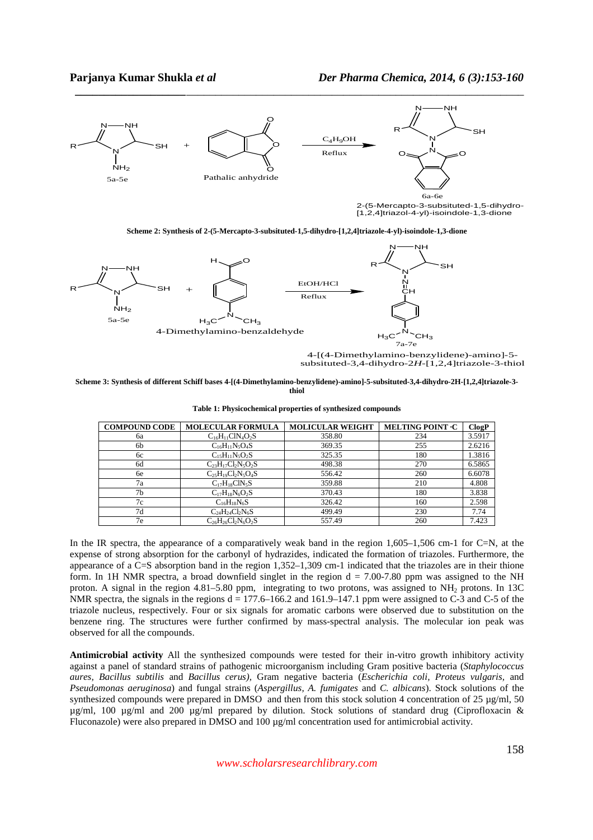

*\_\_\_\_\_\_\_\_\_\_\_\_\_\_\_\_\_\_\_\_\_\_\_\_\_\_\_\_\_\_\_\_\_\_\_\_\_\_\_\_\_\_\_\_\_\_\_\_\_\_\_\_\_\_\_\_\_\_\_\_\_\_\_\_\_\_\_\_\_\_\_\_\_\_\_\_\_*

2-(5-Mercapto-3-subsituted-1,5-dihydro- [1,2,4]triazol-4-yl)-isoindole-1,3-dione





4-[(4-Dimethylamino-benzylidene)-amino]-5 subsituted-3,4-dihydro-2*H*-[1,2,4]triazole-3-thiol

#### **Scheme 3: Synthesis of different Schiff bases 4-[(4-Dimethylamino-benzylidene)-amino]-5-subsituted-3,4-dihydro-2H-[1,2,4]triazole-3 thiol**

| <b>COMPOUND CODE</b> | <b>MOLECULAR FORMULA</b>  | <b>MOLICULAR WEIGHT</b> | MELTING POINT .C | ClogP  |
|----------------------|---------------------------|-------------------------|------------------|--------|
| 6a                   | $C_{16}H_{11}CIN_4O_2S$   | 358.80                  | 234              | 3.5917 |
| 6b                   | $C_{16}H_{11}N_5O_4S$     | 369.35                  | 255              | 2.6216 |
| 6c                   | $C_{15}H_{11}N_5O_2S$     | 325.35                  | 180              | 1.3816 |
| 6d                   | $C_{23}H_{17}Cl_2N_5O_2S$ | 498.38                  | 270              | 6.5865 |
| 6e                   | $C_{25}H_{19}Cl_2N_5O_4S$ | 556.42                  | 260              | 6.6078 |
| 7a                   | $C_{17}H_{18}CIN_5S$      | 359.88                  | 210              | 4.808  |
| 7 <sub>b</sub>       | $C_{17}H_{18}N_6O_2S$     | 370.43                  | 180              | 3.838  |
| 7c                   | $C_{16}H_{18}N_6S$        | 326.42                  | 160              | 2.598  |
| 7d                   | $C_{24}H_{24}Cl_2N_6S$    | 499.49                  | 230              | 7.74   |
| 7e                   | $C_{26}H_{26}Cl_2N_6O_2S$ | 557.49                  | 260              | 7.423  |

In the IR spectra, the appearance of a comparatively weak band in the region  $1.605-1.506$  cm-1 for C=N, at the expense of strong absorption for the carbonyl of hydrazides, indicated the formation of triazoles. Furthermore, the appearance of a C=S absorption band in the region 1,352–1,309 cm-1 indicated that the triazoles are in their thione form. In 1H NMR spectra, a broad downfield singlet in the region  $d = 7.00$ -7.80 ppm was assigned to the NH proton. A signal in the region  $4.81-5.80$  ppm, integrating to two protons, was assigned to NH<sub>2</sub> protons. In 13C NMR spectra, the signals in the regions  $d = 177.6-166.2$  and  $161.9-147.1$  ppm were assigned to C-3 and C-5 of the triazole nucleus, respectively. Four or six signals for aromatic carbons were observed due to substitution on the benzene ring. The structures were further confirmed by mass-spectral analysis. The molecular ion peak was observed for all the compounds.

**Antimicrobial activity** All the synthesized compounds were tested for their in-vitro growth inhibitory activity against a panel of standard strains of pathogenic microorganism including Gram positive bacteria (*Staphylococcus aures, Bacillus subtilis* and *Bacillus cerus),* Gram negative bacteria (*Escherichia coli, Proteus vulgaris,* and *Pseudomonas aeruginosa*) and fungal strains (*Aspergillus, A. fumigates* and *C. albicans*). Stock solutions of the synthesized compounds were prepared in DMSO and then from this stock solution 4 concentration of 25  $\mu$ g/ml, 50 µg/ml, 100 µg/ml and 200 µg/ml prepared by dilution. Stock solutions of standard drug (Ciprofloxacin & Fluconazole) were also prepared in DMSO and 100 µg/ml concentration used for antimicrobial activity.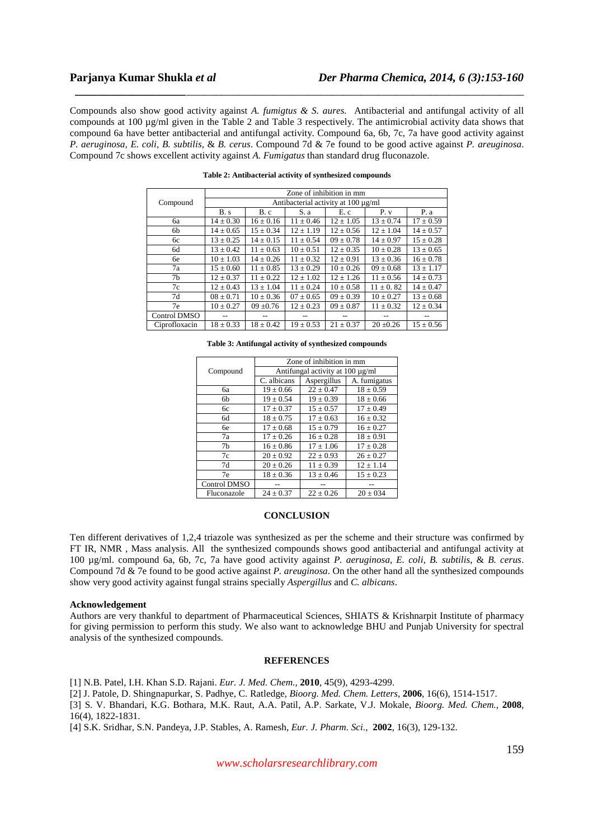Compounds also show good activity against *A. fumigtus & S. aures.* Antibacterial and antifungal activity of all compounds at 100 µg/ml given in the Table 2 and Table 3 respectively. The antimicrobial activity data shows that compound 6a have better antibacterial and antifungal activity. Compound 6a, 6b, 7c, 7a have good activity against *P. aeruginosa, E. coli, B. subtilis*, & *B. cerus*. Compound 7d & 7e found to be good active against *P. areuginosa*. Compound 7c shows excellent activity against *A. Fumigatus* than standard drug fluconazole.

*\_\_\_\_\_\_\_\_\_\_\_\_\_\_\_\_\_\_\_\_\_\_\_\_\_\_\_\_\_\_\_\_\_\_\_\_\_\_\_\_\_\_\_\_\_\_\_\_\_\_\_\_\_\_\_\_\_\_\_\_\_\_\_\_\_\_\_\_\_\_\_\_\_\_\_\_\_*

|               | Zone of inhibition in mm            |               |               |               |               |               |  |
|---------------|-------------------------------------|---------------|---------------|---------------|---------------|---------------|--|
| Compound      | Antibacterial activity at 100 µg/ml |               |               |               |               |               |  |
|               | B.s                                 | B.c           | S. a          | E.c           | P. v          | P.a           |  |
| <b>6a</b>     | $14 \pm 0.30$                       | $16 \pm 0.16$ | $11 \pm 0.46$ | $12 \pm 1.05$ | $13 \pm 0.74$ | $17 \pm 0.59$ |  |
| 6b            | $14 \pm 0.65$                       | $15 \pm 0.34$ | $12 \pm 1.19$ | $12 \pm 0.56$ | $12 \pm 1.04$ | $14 \pm 0.57$ |  |
| 6с            | $13 \pm 0.25$                       | $14 \pm 0.15$ | $11 \pm 0.54$ | $09 \pm 0.78$ | $14 \pm 0.97$ | $15 \pm 0.28$ |  |
| 6d            | $13 \pm 0.42$                       | $11 \pm 0.63$ | $10 \pm 0.51$ | $12 \pm 0.35$ | $10 \pm 0.28$ | $13 \pm 0.65$ |  |
| 6e            | $10 \pm 1.03$                       | $14 \pm 0.26$ | $11 \pm 0.32$ | $12 \pm 0.91$ | $13 \pm 0.36$ | $16 \pm 0.78$ |  |
| 7a            | $15 \pm 0.60$                       | $11 \pm 0.85$ | $13 \pm 0.29$ | $10 \pm 0.26$ | $09 \pm 0.68$ | $13 \pm 1.17$ |  |
| 7b            | $12 \pm 0.37$                       | $11 \pm 0.22$ | $12 \pm 1.02$ | $12 \pm 1.26$ | $11 \pm 0.56$ | $14 \pm 0.73$ |  |
| 7c            | $12 \pm 0.43$                       | $13 \pm 1.04$ | $11 \pm 0.24$ | $10 \pm 0.58$ | $11 \pm 0.82$ | $14 \pm 0.47$ |  |
| 7d            | $08 \pm 0.71$                       | $10 \pm 0.36$ | $07 \pm 0.65$ | $09 \pm 0.39$ | $10 \pm 0.27$ | $13 \pm 0.68$ |  |
| 7e            | $10 \pm 0.27$                       | $09 \pm 0.76$ | $12 \pm 0.23$ | $09 \pm 0.87$ | $11 \pm 0.32$ | $12 \pm 0.34$ |  |
| Control DMSO  |                                     |               |               |               |               |               |  |
| Ciprofloxacin | $18 \pm 0.33$                       | $18 \pm 0.42$ | $19 \pm 0.53$ | $21 \pm 0.37$ | $20 \pm 0.26$ | $15 \pm 0.56$ |  |

**Table 2: Antibacterial activity of synthesized compounds** 

|          | Zone of inhibition in mm              |               |               |  |  |
|----------|---------------------------------------|---------------|---------------|--|--|
| Compound | Antifungal activity at $100 \mu g/ml$ |               |               |  |  |
|          | C. albicans                           | Aspergillus   | A. fumigatus  |  |  |
| ба       | $19 \pm 0.66$                         | $22 \pm 0.47$ | $18 \pm 0.59$ |  |  |
| 6b       | $19 \pm 0.54$                         | $19 \pm 0.39$ | $18 \pm 0.66$ |  |  |
| 6с       | $17 \pm 0.37$                         | $15 \pm 0.57$ | $17 \pm 0.49$ |  |  |
| 6d       | $18 + 0.75$                           | $17 + 0.63$   | $16 + 0.32$   |  |  |
| бe       | $17 + 0.68$                           | $15 + 0.79$   | $16 + 0.27$   |  |  |
| 7a       | $17 \pm 0.26$                         | $16 \pm 0.28$ | $18 \pm 0.91$ |  |  |
| 7b       | $16 \pm 0.86$                         | $17 \pm 1.06$ | $17 \pm 0.28$ |  |  |
| 7c       | $20 \pm 0.92$                         | $22 \pm 0.93$ | $26 \pm 0.27$ |  |  |
| 7d       | $20 \pm 0.26$                         | $11 \pm 0.39$ | $12 \pm 1.14$ |  |  |
| 7e       | $18 + 0.36$                           | $13 + 0.46$   | $15 + 0.23$   |  |  |

**Table 3: Antifungal activity of synthesized compounds** 

#### **CONCLUSION**

Control DMSO -- -- --

Fluconazole  $24 + 0.37$ 

Ten different derivatives of 1,2,4 triazole was synthesized as per the scheme and their structure was confirmed by FT IR, NMR , Mass analysis. All the synthesized compounds shows good antibacterial and antifungal activity at 100 µg/ml. compound 6a, 6b, 7c, 7a have good activity against *P. aeruginosa, E. coli, B. subtilis*, & *B. cerus*. Compound 7d & 7e found to be good active against *P. areuginosa*. On the other hand all the synthesized compounds show very good activity against fungal strains specially *Aspergillus* and *C. albicans*.

#### **Acknowledgement**

Authors are very thankful to department of Pharmaceutical Sciences, SHIATS & Krishnarpit Institute of pharmacy for giving permission to perform this study. We also want to acknowledge BHU and Punjab University for spectral analysis of the synthesized compounds.

## **REFERENCES**

[1] N.B. Patel, I.H. Khan S.D. Rajani. *Eur. J. Med. Chem.,* **2010**, 45(9), 4293-4299.

[2] J. Patole, D. Shingnapurkar, S. Padhye, C. Ratledge, *Bioorg. Med. Chem. Letters,* **2006**, 16(6), 1514-1517.

[3] S. V. Bhandari, K.G. Bothara, M.K. Raut, A.A. Patil, A.P. Sarkate, V.J. Mokale, *Bioorg. Med. Chem.,* **2008**, 16(4), 1822-1831.

[4] S.K. Sridhar, S.N. Pandeya, J.P. Stables, A. Ramesh, *Eur. J. Pharm. Sci.,* **2002**, 16(3), 129-132.

159